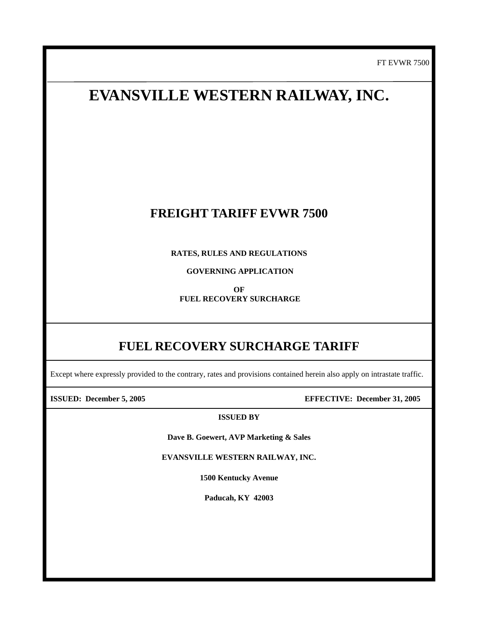FT EVWR 7500

## **EVANSVILLE WESTERN RAILWAY, INC.**

## **FREIGHT TARIFF EVWR 7500**

**RATES, RULES AND REGULATIONS** 

 **GOVERNING APPLICATION** 

**OF FUEL RECOVERY SURCHARGE** 

## **FUEL RECOVERY SURCHARGE TARIFF**

Except where expressly provided to the contrary, rates and provisions contained herein also apply on intrastate traffic.

 $\overline{\phantom{a}}$ 

 **ISSUED: December 5, 2005 EFFECTIVE: December 31, 2005**

**ISSUED BY**

**Dave B. Goewert, AVP Marketing & Sales** 

**EVANSVILLE WESTERN RAILWAY, INC.** 

**1500 Kentucky Avenue** 

**Paducah, KY 42003**